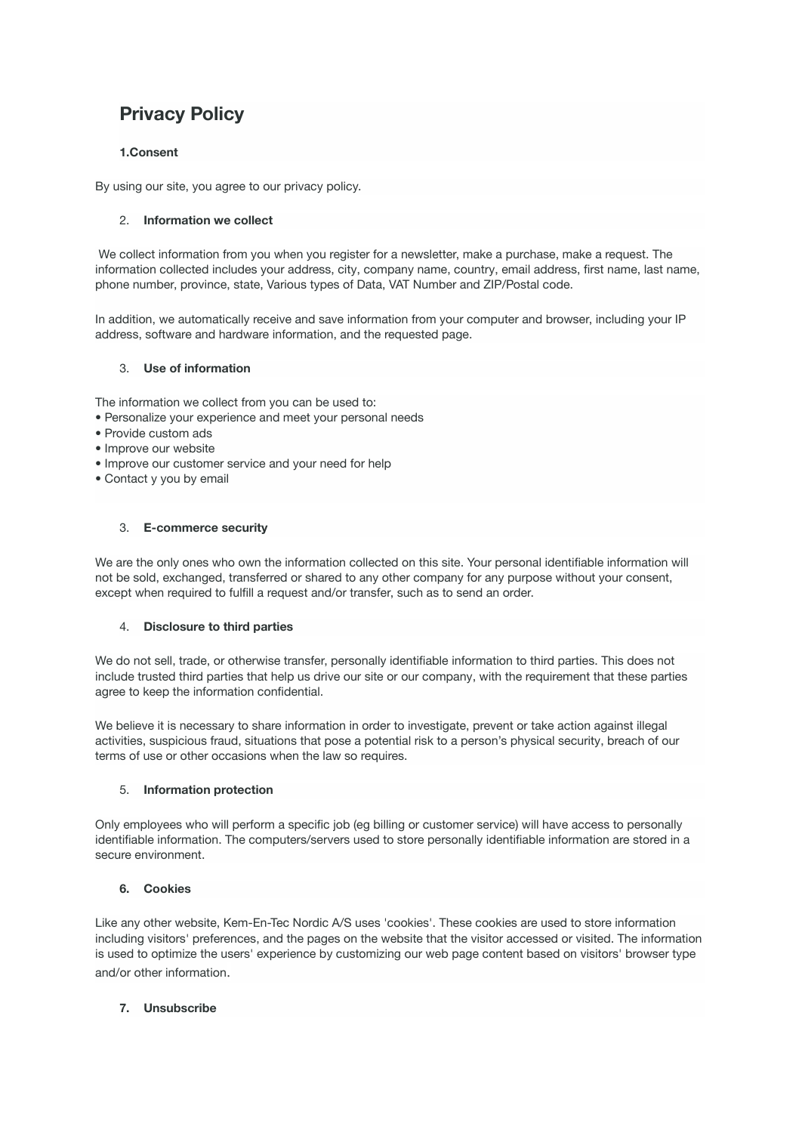# **Privacy Policy**

## **1.Consent**

By using our site, you agree to our privacy policy.

### 2. **Information we collect**

We collect information from you when you register for a newsletter, make a purchase, make a request. The information collected includes your address, city, company name, country, email address, first name, last name, phone number, province, state, Various types of Data, VAT Number and ZIP/Postal code.

In addition, we automatically receive and save information from your computer and browser, including your IP address, software and hardware information, and the requested page.

### 3. **Use of information**

The information we collect from you can be used to:

- Personalize your experience and meet your personal needs
- Provide custom ads
- Improve our website
- Improve our customer service and your need for help
- Contact y you by email

## 3. **E-commerce security**

We are the only ones who own the information collected on this site. Your personal identifiable information will not be sold, exchanged, transferred or shared to any other company for any purpose without your consent, except when required to fulfill a request and/or transfer, such as to send an order.

### 4. **Disclosure to third parties**

We do not sell, trade, or otherwise transfer, personally identifiable information to third parties. This does not include trusted third parties that help us drive our site or our company, with the requirement that these parties agree to keep the information confidential.

We believe it is necessary to share information in order to investigate, prevent or take action against illegal activities, suspicious fraud, situations that pose a potential risk to a person's physical security, breach of our terms of use or other occasions when the law so requires.

### 5. **Information protection**

Only employees who will perform a specific job (eg billing or customer service) will have access to personally identifiable information. The computers/servers used to store personally identifiable information are stored in a secure environment.

### **6. Cookies**

Like any other website, Kem-En-Tec Nordic A/S uses 'cookies'. These cookies are used to store information including visitors' preferences, and the pages on the website that the visitor accessed or visited. The information is used to optimize the users' experience by customizing our web page content based on visitors' browser type and/or other information.

### **7. Unsubscribe**